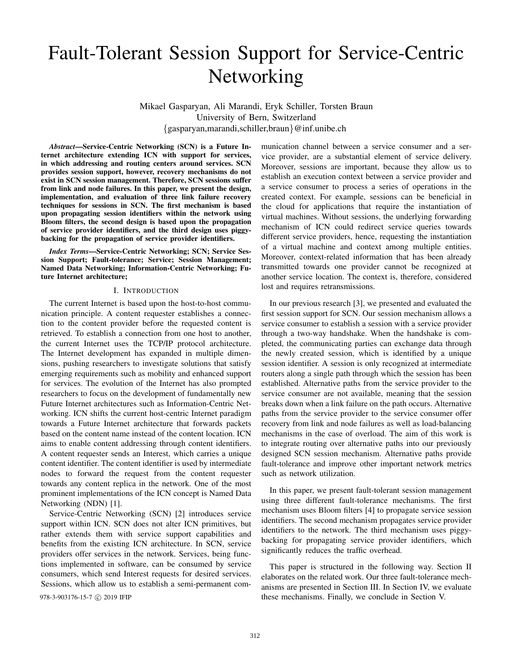# Fault-Tolerant Session Support for Service-Centric Networking

Mikael Gasparyan, Ali Marandi, Eryk Schiller, Torsten Braun University of Bern, Switzerland {gasparyan,marandi,schiller,braun}@inf.unibe.ch

*Abstract*—Service-Centric Networking (SCN) is a Future Internet architecture extending ICN with support for services, in which addressing and routing centers around services. SCN provides session support, however, recovery mechanisms do not exist in SCN session management. Therefore, SCN sessions suffer from link and node failures. In this paper, we present the design, implementation, and evaluation of three link failure recovery techniques for sessions in SCN. The first mechanism is based upon propagating session identifiers within the network using Bloom filters, the second design is based upon the propagation of service provider identifiers, and the third design uses piggybacking for the propagation of service provider identifiers.

*Index Terms*—Service-Centric Networking; SCN; Service Session Support; Fault-tolerance; Service; Session Management; Named Data Networking; Information-Centric Networking; Future Internet architecture;

### I. INTRODUCTION

The current Internet is based upon the host-to-host communication principle. A content requester establishes a connection to the content provider before the requested content is retrieved. To establish a connection from one host to another, the current Internet uses the TCP/IP protocol architecture. The Internet development has expanded in multiple dimensions, pushing researchers to investigate solutions that satisfy emerging requirements such as mobility and enhanced support for services. The evolution of the Internet has also prompted researchers to focus on the development of fundamentally new Future Internet architectures such as Information-Centric Networking. ICN shifts the current host-centric Internet paradigm towards a Future Internet architecture that forwards packets based on the content name instead of the content location. ICN aims to enable content addressing through content identifiers. A content requester sends an Interest, which carries a unique content identifier. The content identifier is used by intermediate nodes to forward the request from the content requester towards any content replica in the network. One of the most prominent implementations of the ICN concept is Named Data Networking (NDN) [1].

Service-Centric Networking (SCN) [2] introduces service support within ICN. SCN does not alter ICN primitives, but rather extends them with service support capabilities and benefits from the existing ICN architecture. In SCN, service providers offer services in the network. Services, being functions implemented in software, can be consumed by service consumers, which send Interest requests for desired services. Sessions, which allow us to establish a semi-permanent com-

munication channel between a service consumer and a service provider, are a substantial element of service delivery. Moreover, sessions are important, because they allow us to establish an execution context between a service provider and a service consumer to process a series of operations in the created context. For example, sessions can be beneficial in the cloud for applications that require the instantiation of virtual machines. Without sessions, the underlying forwarding mechanism of ICN could redirect service queries towards different service providers, hence, requesting the instantiation of a virtual machine and context among multiple entities. Moreover, context-related information that has been already transmitted towards one provider cannot be recognized at another service location. The context is, therefore, considered lost and requires retransmissions.

In our previous research [3], we presented and evaluated the first session support for SCN. Our session mechanism allows a service consumer to establish a session with a service provider through a two-way handshake. When the handshake is completed, the communicating parties can exchange data through the newly created session, which is identified by a unique session identifier. A session is only recognized at intermediate routers along a single path through which the session has been established. Alternative paths from the service provider to the service consumer are not available, meaning that the session breaks down when a link failure on the path occurs. Alternative paths from the service provider to the service consumer offer recovery from link and node failures as well as load-balancing mechanisms in the case of overload. The aim of this work is to integrate routing over alternative paths into our previously designed SCN session mechanism. Alternative paths provide fault-tolerance and improve other important network metrics such as network utilization.

In this paper, we present fault-tolerant session management using three different fault-tolerance mechanisms. The first mechanism uses Bloom filters [4] to propagate service session identifiers. The second mechanism propagates service provider identifiers to the network. The third mechanism uses piggybacking for propagating service provider identifiers, which significantly reduces the traffic overhead.

This paper is structured in the following way. Section II elaborates on the related work. Our three fault-tolerance mechanisms are presented in Section III. In Section IV, we evaluate 978-3-903176-15-7  $\odot$  2019 IFIP these mechanisms. Finally, we conclude in Section V.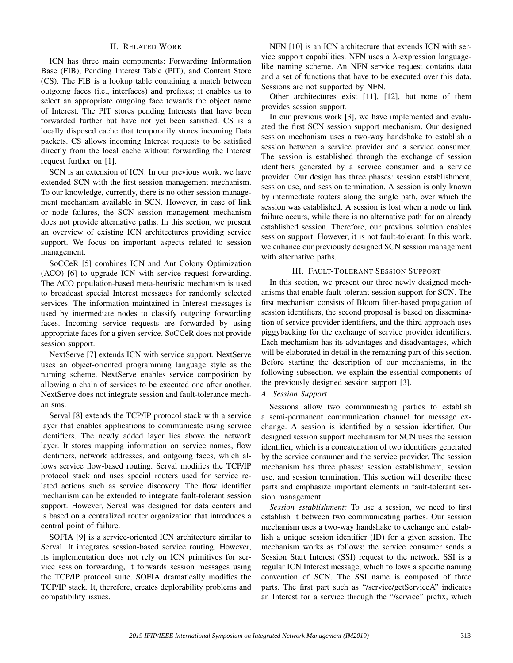# II. RELATED WORK

ICN has three main components: Forwarding Information Base (FIB), Pending Interest Table (PIT), and Content Store (CS). The FIB is a lookup table containing a match between outgoing faces (i.e., interfaces) and prefixes; it enables us to select an appropriate outgoing face towards the object name of Interest. The PIT stores pending Interests that have been forwarded further but have not yet been satisfied. CS is a locally disposed cache that temporarily stores incoming Data packets. CS allows incoming Interest requests to be satisfied directly from the local cache without forwarding the Interest request further on [1].

SCN is an extension of ICN. In our previous work, we have extended SCN with the first session management mechanism. To our knowledge, currently, there is no other session management mechanism available in SCN. However, in case of link or node failures, the SCN session management mechanism does not provide alternative paths. In this section, we present an overview of existing ICN architectures providing service support. We focus on important aspects related to session management.

SoCCeR [5] combines ICN and Ant Colony Optimization (ACO) [6] to upgrade ICN with service request forwarding. The ACO population-based meta-heuristic mechanism is used to broadcast special Interest messages for randomly selected services. The information maintained in Interest messages is used by intermediate nodes to classify outgoing forwarding faces. Incoming service requests are forwarded by using appropriate faces for a given service. SoCCeR does not provide session support.

NextServe [7] extends ICN with service support. NextServe uses an object-oriented programming language style as the naming scheme. NextServe enables service composition by allowing a chain of services to be executed one after another. NextServe does not integrate session and fault-tolerance mechanisms.

Serval [8] extends the TCP/IP protocol stack with a service layer that enables applications to communicate using service identifiers. The newly added layer lies above the network layer. It stores mapping information on service names, flow identifiers, network addresses, and outgoing faces, which allows service flow-based routing. Serval modifies the TCP/IP protocol stack and uses special routers used for service related actions such as service discovery. The flow identifier mechanism can be extended to integrate fault-tolerant session support. However, Serval was designed for data centers and is based on a centralized router organization that introduces a central point of failure.

SOFIA [9] is a service-oriented ICN architecture similar to Serval. It integrates session-based service routing. However, its implementation does not rely on ICN primitives for service session forwarding, it forwards session messages using the TCP/IP protocol suite. SOFIA dramatically modifies the TCP/IP stack. It, therefore, creates deplorability problems and compatibility issues.

NFN [10] is an ICN architecture that extends ICN with service support capabilities. NFN uses a  $\lambda$ -expression languagelike naming scheme. An NFN service request contains data and a set of functions that have to be executed over this data. Sessions are not supported by NFN.

Other architectures exist [11], [12], but none of them provides session support.

In our previous work [3], we have implemented and evaluated the first SCN session support mechanism. Our designed session mechanism uses a two-way handshake to establish a session between a service provider and a service consumer. The session is established through the exchange of session identifiers generated by a service consumer and a service provider. Our design has three phases: session establishment, session use, and session termination. A session is only known by intermediate routers along the single path, over which the session was established. A session is lost when a node or link failure occurs, while there is no alternative path for an already established session. Therefore, our previous solution enables session support. However, it is not fault-tolerant. In this work, we enhance our previously designed SCN session management with alternative paths.

# III. FAULT-TOLERANT SESSION SUPPORT

In this section, we present our three newly designed mechanisms that enable fault-tolerant session support for SCN. The first mechanism consists of Bloom filter-based propagation of session identifiers, the second proposal is based on dissemination of service provider identifiers, and the third approach uses piggybacking for the exchange of service provider identifiers. Each mechanism has its advantages and disadvantages, which will be elaborated in detail in the remaining part of this section. Before starting the description of our mechanisms, in the following subsection, we explain the essential components of the previously designed session support [3].

# *A. Session Support*

Sessions allow two communicating parties to establish a semi-permanent communication channel for message exchange. A session is identified by a session identifier. Our designed session support mechanism for SCN uses the session identifier, which is a concatenation of two identifiers generated by the service consumer and the service provider. The session mechanism has three phases: session establishment, session use, and session termination. This section will describe these parts and emphasize important elements in fault-tolerant session management.

*Session establishment:* To use a session, we need to first establish it between two communicating parties. Our session mechanism uses a two-way handshake to exchange and establish a unique session identifier (ID) for a given session. The mechanism works as follows: the service consumer sends a Session Start Interest (SSI) request to the network. SSI is a regular ICN Interest message, which follows a specific naming convention of SCN. The SSI name is composed of three parts. The first part such as "/service/getServiceA" indicates an Interest for a service through the "/service" prefix, which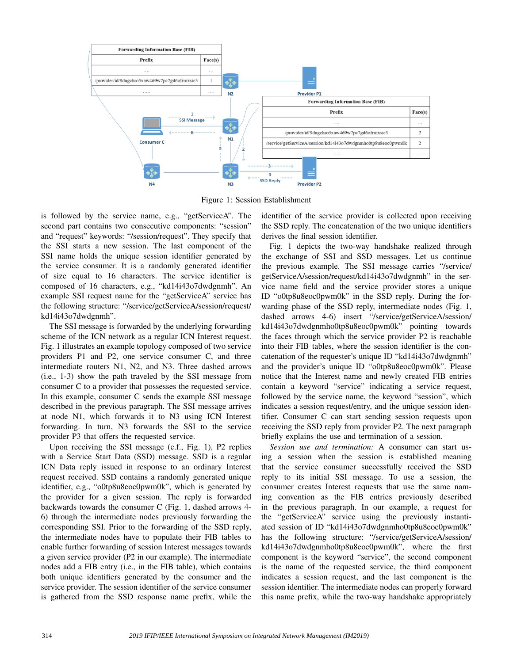

Figure 1: Session Establishment

is followed by the service name, e.g., "getServiceA". The second part contains two consecutive components: "session" and "request" keywords: "/session/request". They specify that the SSI starts a new session. The last component of the SSI name holds the unique session identifier generated by the service consumer. It is a randomly generated identifier of size equal to 16 characters. The service identifier is composed of 16 characters, e.g., "kd14i43o7dwdgnmh". An example SSI request name for the "getServiceA" service has the following structure: "/service/getServiceA/session/request/ kd14i43o7dwdgnmh".

The SSI message is forwarded by the underlying forwarding scheme of the ICN network as a regular ICN Interest request. Fig. 1 illustrates an example topology composed of two service providers P1 and P2, one service consumer C, and three intermediate routers N1, N2, and N3. Three dashed arrows (i.e., 1-3) show the path traveled by the SSI message from consumer C to a provider that possesses the requested service. In this example, consumer C sends the example SSI message described in the previous paragraph. The SSI message arrives at node N1, which forwards it to N3 using ICN Interest forwarding. In turn, N3 forwards the SSI to the service provider P3 that offers the requested service.

Upon receiving the SSI message (c.f., Fig. 1), P2 replies with a Service Start Data (SSD) message. SSD is a regular ICN Data reply issued in response to an ordinary Interest request received. SSD contains a randomly generated unique identifier, e.g., "o0tp8u8eoc0pwm0k", which is generated by the provider for a given session. The reply is forwarded backwards towards the consumer C (Fig. 1, dashed arrows 4- 6) through the intermediate nodes previously forwarding the corresponding SSI. Prior to the forwarding of the SSD reply, the intermediate nodes have to populate their FIB tables to enable further forwarding of session Interest messages towards a given service provider (P2 in our example). The intermediate nodes add a FIB entry (i.e., in the FIB table), which contains both unique identifiers generated by the consumer and the service provider. The session identifier of the service consumer is gathered from the SSD response name prefix, while the

identifier of the service provider is collected upon receiving the SSD reply. The concatenation of the two unique identifiers derives the final session identifier.

Fig. 1 depicts the two-way handshake realized through the exchange of SSI and SSD messages. Let us continue the previous example. The SSI message carries "/service/ getServiceA/session/request/kd14i43o7dwdgnmh" in the service name field and the service provider stores a unique ID "o0tp8u8eoc0pwm0k" in the SSD reply. During the forwarding phase of the SSD reply, intermediate nodes (Fig. 1, dashed arrows 4-6) insert "/service/getServiceA/session/ kd14i43o7dwdgnmho0tp8u8eoc0pwm0k" pointing towards the faces through which the service provider P2 is reachable into their FIB tables, where the session identifier is the concatenation of the requester's unique ID "kd14i43o7dwdgnmh" and the provider's unique ID "o0tp8u8eoc0pwm0k". Please notice that the Interest name and newly created FIB entries contain a keyword "service" indicating a service request, followed by the service name, the keyword "session", which indicates a session request/entry, and the unique session identifier. Consumer C can start sending session requests upon receiving the SSD reply from provider P2. The next paragraph briefly explains the use and termination of a session.

*Session use and termination:* A consumer can start using a session when the session is established meaning that the service consumer successfully received the SSD reply to its initial SSI message. To use a session, the consumer creates Interest requests that use the same naming convention as the FIB entries previously described in the previous paragraph. In our example, a request for the "getServiceA" service using the previously instantiated session of ID "kd14i43o7dwdgnmho0tp8u8eoc0pwm0k" has the following structure: "/service/getServiceA/session/ kd14i43o7dwdgnmho0tp8u8eoc0pwm0k", where the first component is the keyword "service", the second component is the name of the requested service, the third component indicates a session request, and the last component is the session identifier. The intermediate nodes can properly forward this name prefix, while the two-way handshake appropriately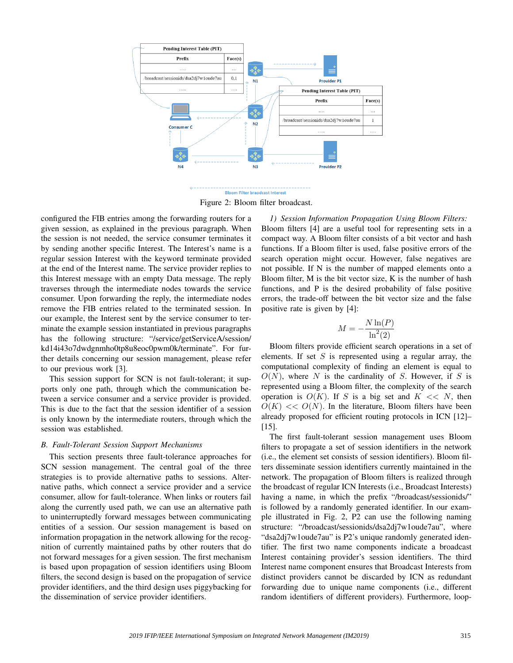



Figure 2: Bloom filter broadcast.

configured the FIB entries among the forwarding routers for a given session, as explained in the previous paragraph. When the session is not needed, the service consumer terminates it by sending another specific Interest. The Interest's name is a regular session Interest with the keyword terminate provided at the end of the Interest name. The service provider replies to this Interest message with an empty Data message. The reply traverses through the intermediate nodes towards the service consumer. Upon forwarding the reply, the intermediate nodes remove the FIB entries related to the terminated session. In our example, the Interest sent by the service consumer to terminate the example session instantiated in previous paragraphs has the following structure: "/service/getServiceA/session/ kd14i43o7dwdgnmho0tp8u8eoc0pwm0k/terminate". For further details concerning our session management, please refer to our previous work [3].

This session support for SCN is not fault-tolerant; it supports only one path, through which the communication between a service consumer and a service provider is provided. This is due to the fact that the session identifier of a session is only known by the intermediate routers, through which the session was established.

# *B. Fault-Tolerant Session Support Mechanisms*

This section presents three fault-tolerance approaches for SCN session management. The central goal of the three strategies is to provide alternative paths to sessions. Alternative paths, which connect a service provider and a service consumer, allow for fault-tolerance. When links or routers fail along the currently used path, we can use an alternative path to uninterruptedly forward messages between communicating entities of a session. Our session management is based on information propagation in the network allowing for the recognition of currently maintained paths by other routers that do not forward messages for a given session. The first mechanism is based upon propagation of session identifiers using Bloom filters, the second design is based on the propagation of service provider identifiers, and the third design uses piggybacking for the dissemination of service provider identifiers.

*1) Session Information Propagation Using Bloom Filters:* Bloom filters [4] are a useful tool for representing sets in a compact way. A Bloom filter consists of a bit vector and hash functions. If a Bloom filter is used, false positive errors of the search operation might occur. However, false negatives are not possible. If N is the number of mapped elements onto a Bloom filter, M is the bit vector size, K is the number of hash functions, and P is the desired probability of false positive errors, the trade-off between the bit vector size and the false positive rate is given by [4]:

$$
M = -\frac{N \ln(P)}{\ln^2(2)}
$$

Bloom filters provide efficient search operations in a set of elements. If set  $S$  is represented using a regular array, the computational complexity of finding an element is equal to  $O(N)$ , where N is the cardinality of S. However, if S is represented using a Bloom filter, the complexity of the search operation is  $O(K)$ . If S is a big set and  $K \ll N$ , then  $O(K) \ll O(N)$ . In the literature, Bloom filters have been already proposed for efficient routing protocols in ICN [12]– [15].

The first fault-tolerant session management uses Bloom filters to propagate a set of session identifiers in the network (i.e., the element set consists of session identifiers). Bloom filters disseminate session identifiers currently maintained in the network. The propagation of Bloom filters is realized through the broadcast of regular ICN Interests (i.e., Broadcast Interests) having a name, in which the prefix "/broadcast/sessionids/" is followed by a randomly generated identifier. In our example illustrated in Fig. 2, P2 can use the following naming structure: "/broadcast/sessionids/dsa2dj7w1oude7au", where "dsa2dj7w1oude7au" is P2's unique randomly generated identifier. The first two name components indicate a broadcast Interest containing provider's session identifiers. The third Interest name component ensures that Broadcast Interests from distinct providers cannot be discarded by ICN as redundant forwarding due to unique name components (i.e., different random identifiers of different providers). Furthermore, loop-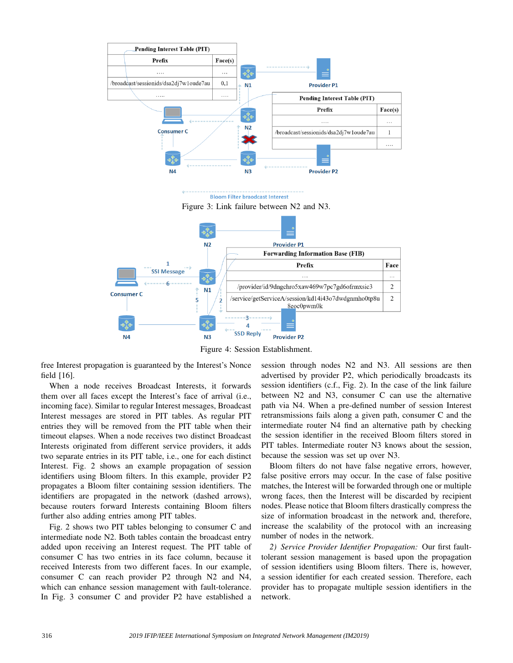

Figure 4: Session Establishment.

free Interest propagation is guaranteed by the Interest's Nonce field [16].

When a node receives Broadcast Interests, it forwards them over all faces except the Interest's face of arrival (i.e., incoming face). Similar to regular Interest messages, Broadcast Interest messages are stored in PIT tables. As regular PIT entries they will be removed from the PIT table when their timeout elapses. When a node receives two distinct Broadcast Interests originated from different service providers, it adds two separate entries in its PIT table, i.e., one for each distinct Interest. Fig. 2 shows an example propagation of session identifiers using Bloom filters. In this example, provider P2 propagates a Bloom filter containing session identifiers. The identifiers are propagated in the network (dashed arrows), because routers forward Interests containing Bloom filters further also adding entries among PIT tables.

Fig. 2 shows two PIT tables belonging to consumer C and intermediate node N2. Both tables contain the broadcast entry added upon receiving an Interest request. The PIT table of consumer C has two entries in its face column, because it received Interests from two different faces. In our example, consumer C can reach provider P2 through N2 and N4, which can enhance session management with fault-tolerance. In Fig. 3 consumer C and provider P2 have established a

session through nodes N2 and N3. All sessions are then advertised by provider P2, which periodically broadcasts its session identifiers (c.f., Fig. 2). In the case of the link failure between N2 and N3, consumer C can use the alternative path via N4. When a pre-defined number of session Interest retransmissions fails along a given path, consumer C and the intermediate router N4 find an alternative path by checking the session identifier in the received Bloom filters stored in PIT tables. Intermediate router N3 knows about the session, because the session was set up over N3.

Bloom filters do not have false negative errors, however, false positive errors may occur. In the case of false positive matches, the Interest will be forwarded through one or multiple wrong faces, then the Interest will be discarded by recipient nodes. Please notice that Bloom filters drastically compress the size of information broadcast in the network and, therefore, increase the scalability of the protocol with an increasing number of nodes in the network.

*2) Service Provider Identifier Propagation:* Our first faulttolerant session management is based upon the propagation of session identifiers using Bloom filters. There is, however, a session identifier for each created session. Therefore, each provider has to propagate multiple session identifiers in the network.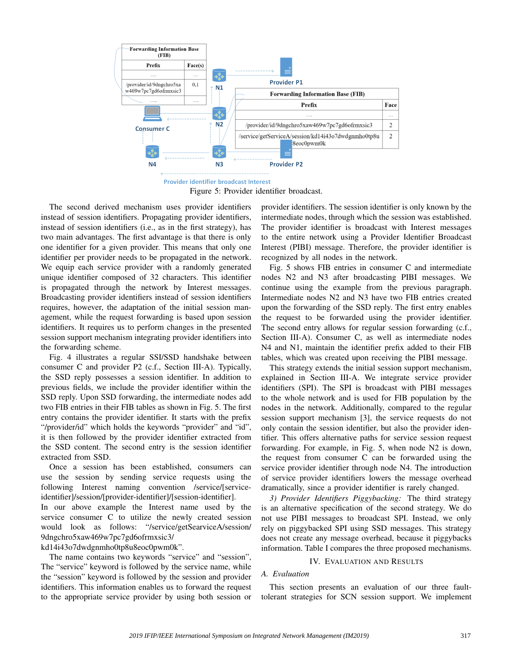

Figure 5: Provider identifier broadcast.

The second derived mechanism uses provider identifiers instead of session identifiers. Propagating provider identifiers, instead of session identifiers (i.e., as in the first strategy), has two main advantages. The first advantage is that there is only one identifier for a given provider. This means that only one identifier per provider needs to be propagated in the network. We equip each service provider with a randomly generated unique identifier composed of 32 characters. This identifier is propagated through the network by Interest messages. Broadcasting provider identifiers instead of session identifiers requires, however, the adaptation of the initial session management, while the request forwarding is based upon session identifiers. It requires us to perform changes in the presented session support mechanism integrating provider identifiers into the forwarding scheme.

Fig. 4 illustrates a regular SSI/SSD handshake between consumer C and provider P2 (c.f., Section III-A). Typically, the SSD reply possesses a session identifier. In addition to previous fields, we include the provider identifier within the SSD reply. Upon SSD forwarding, the intermediate nodes add two FIB entries in their FIB tables as shown in Fig. 5. The first entry contains the provider identifier. It starts with the prefix "/provider/id" which holds the keywords "provider" and "id", it is then followed by the provider identifier extracted from the SSD content. The second entry is the session identifier extracted from SSD.

Once a session has been established, consumers can use the session by sending service requests using the following Interest naming convention /service/[serviceidentifier]/session/[provider-identifier]/[session-identifier].

In our above example the Interest name used by the service consumer C to utilize the newly created session would look as follows: "/service/getSearviceA/session/ 9dngchro5xaw469w7pc7gd6ofrmxsic3/

kd14i43o7dwdgnmho0tp8u8eoc0pwm0k".

The name contains two keywords "service" and "session", The "service" keyword is followed by the service name, while the "session" keyword is followed by the session and provider identifiers. This information enables us to forward the request to the appropriate service provider by using both session or provider identifiers. The session identifier is only known by the intermediate nodes, through which the session was established. The provider identifier is broadcast with Interest messages to the entire network using a Provider Identifier Broadcast Interest (PIBI) message. Therefore, the provider identifier is recognized by all nodes in the network.

Fig. 5 shows FIB entries in consumer C and intermediate nodes N2 and N3 after broadcasting PIBI messages. We continue using the example from the previous paragraph. Intermediate nodes N2 and N3 have two FIB entries created upon the forwarding of the SSD reply. The first entry enables the request to be forwarded using the provider identifier. The second entry allows for regular session forwarding (c.f., Section III-A). Consumer C, as well as intermediate nodes N4 and N1, maintain the identifier prefix added to their FIB tables, which was created upon receiving the PIBI message.

This strategy extends the initial session support mechanism, explained in Section III-A. We integrate service provider identifiers (SPI). The SPI is broadcast with PIBI messages to the whole network and is used for FIB population by the nodes in the network. Additionally, compared to the regular session support mechanism [3], the service requests do not only contain the session identifier, but also the provider identifier. This offers alternative paths for service session request forwarding. For example, in Fig. 5, when node N2 is down, the request from consumer C can be forwarded using the service provider identifier through node N4. The introduction of service provider identifiers lowers the message overhead dramatically, since a provider identifier is rarely changed.

*3) Provider Identifiers Piggybacking:* The third strategy is an alternative specification of the second strategy. We do not use PIBI messages to broadcast SPI. Instead, we only rely on piggybacked SPI using SSD messages. This strategy does not create any message overhead, because it piggybacks information. Table I compares the three proposed mechanisms.

# IV. EVALUATION AND RESULTS

### *A. Evaluation*

This section presents an evaluation of our three faulttolerant strategies for SCN session support. We implement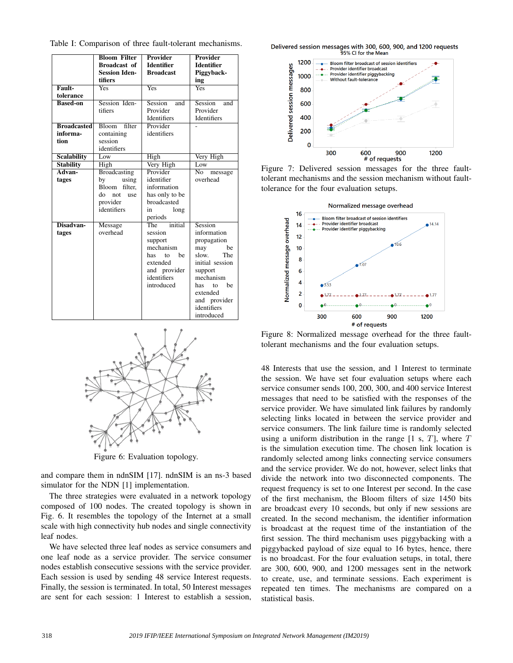|                    | <b>Bloom Filter</b>    | Provider              | Provider          |
|--------------------|------------------------|-----------------------|-------------------|
|                    | <b>Broadcast</b> of    | <b>Identifier</b>     | <b>Identifier</b> |
|                    | <b>Session Iden-</b>   | <b>Broadcast</b>      | Piggyback-        |
|                    | tifiers                |                       | ing               |
| Fault-             | Yes                    | Yes                   | Yes               |
| tolerance          |                        |                       |                   |
| <b>Based-on</b>    | Session Iden-          | Session<br>and        | Session<br>and    |
|                    | tifiers                | Provider              | Provider          |
|                    |                        | <b>Identifiers</b>    | Identifiers       |
| <b>Broadcasted</b> | filter<br><b>Bloom</b> | Provider              |                   |
| informa-           | containing             | identifiers           |                   |
| tion               | session                |                       |                   |
|                    | identifiers            |                       |                   |
| <b>Scalability</b> | Low                    | High                  | Very High         |
| <b>Stability</b>   | High                   | Very High             | Low               |
| Advan-             | <b>Broadcasting</b>    | Provider              | No<br>message     |
| tages              | by<br>using            | identifier            | overhead          |
|                    | filter.<br>Bloom       | information           |                   |
|                    | do<br>not<br>use       | has only to be        |                   |
|                    | provider               | broadcasted           |                   |
|                    | identifiers            | in<br>long            |                   |
|                    |                        | periods               |                   |
| Disadvan-          | Message                | initial<br><b>The</b> | Session           |
| tages              | overhead               | session               | information       |
|                    |                        | support               | propagation       |
|                    |                        | mechanism             | be<br>may         |
|                    |                        | be<br>has<br>to       | The<br>slow.      |
|                    |                        | extended              | initial session   |
|                    |                        | and provider          | support           |
|                    |                        | identifiers           | mechanism         |
|                    |                        | introduced            | be<br>has<br>to   |
|                    |                        |                       | extended          |
|                    |                        |                       | and provider      |
|                    |                        |                       | identifiers       |
|                    |                        |                       | introduced        |

Table I: Comparison of three fault-tolerant mechanisms.



Figure 6: Evaluation topology.

and compare them in ndnSIM [17]. ndnSIM is an ns-3 based simulator for the NDN [1] implementation.

The three strategies were evaluated in a network topology composed of 100 nodes. The created topology is shown in Fig. 6. It resembles the topology of the Internet at a small scale with high connectivity hub nodes and single connectivity leaf nodes.

We have selected three leaf nodes as service consumers and one leaf node as a service provider. The service consumer nodes establish consecutive sessions with the service provider. Each session is used by sending 48 service Interest requests. Finally, the session is terminated. In total, 50 Interest messages are sent for each session: 1 Interest to establish a session,





Figure 7: Delivered session messages for the three faulttolerant mechanisms and the session mechanism without faulttolerance for the four evaluation setups.



Figure 8: Normalized message overhead for the three faulttolerant mechanisms and the four evaluation setups.

48 Interests that use the session, and 1 Interest to terminate the session. We have set four evaluation setups where each service consumer sends 100, 200, 300, and 400 service Interest messages that need to be satisfied with the responses of the service provider. We have simulated link failures by randomly selecting links located in between the service provider and service consumers. The link failure time is randomly selected using a uniform distribution in the range  $[1 \text{ s}, T]$ , where T is the simulation execution time. The chosen link location is randomly selected among links connecting service consumers and the service provider. We do not, however, select links that divide the network into two disconnected components. The request frequency is set to one Interest per second. In the case of the first mechanism, the Bloom filters of size 1450 bits are broadcast every 10 seconds, but only if new sessions are created. In the second mechanism, the identifier information is broadcast at the request time of the instantiation of the first session. The third mechanism uses piggybacking with a piggybacked payload of size equal to 16 bytes, hence, there is no broadcast. For the four evaluation setups, in total, there are 300, 600, 900, and 1200 messages sent in the network to create, use, and terminate sessions. Each experiment is repeated ten times. The mechanisms are compared on a statistical basis.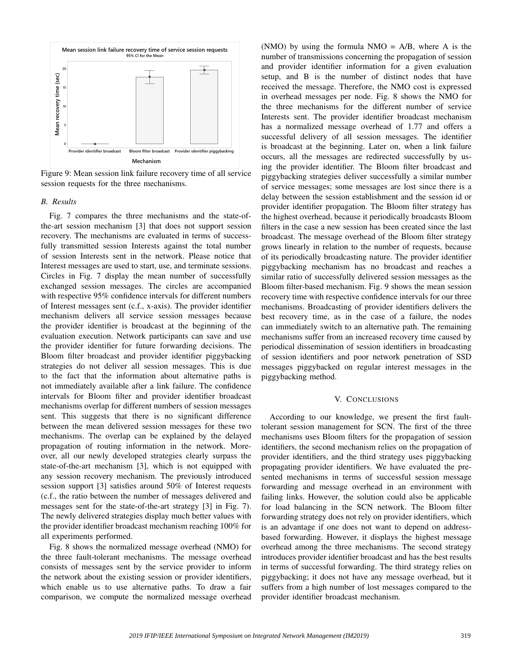

Figure 9: Mean session link failure recovery time of all service session requests for the three mechanisms.

# *B. Results*

Fig. 7 compares the three mechanisms and the state-ofthe-art session mechanism [3] that does not support session recovery. The mechanisms are evaluated in terms of successfully transmitted session Interests against the total number of session Interests sent in the network. Please notice that Interest messages are used to start, use, and terminate sessions. Circles in Fig. 7 display the mean number of successfully exchanged session messages. The circles are accompanied with respective 95% confidence intervals for different numbers of Interest messages sent (c.f., x-axis). The provider identifier mechanism delivers all service session messages because the provider identifier is broadcast at the beginning of the evaluation execution. Network participants can save and use the provider identifier for future forwarding decisions. The Bloom filter broadcast and provider identifier piggybacking strategies do not deliver all session messages. This is due to the fact that the information about alternative paths is not immediately available after a link failure. The confidence intervals for Bloom filter and provider identifier broadcast mechanisms overlap for different numbers of session messages sent. This suggests that there is no significant difference between the mean delivered session messages for these two mechanisms. The overlap can be explained by the delayed propagation of routing information in the network. Moreover, all our newly developed strategies clearly surpass the state-of-the-art mechanism [3], which is not equipped with any session recovery mechanism. The previously introduced session support [3] satisfies around 50% of Interest requests (c.f., the ratio between the number of messages delivered and messages sent for the state-of-the-art strategy [3] in Fig. 7). The newly delivered strategies display much better values with the provider identifier broadcast mechanism reaching 100% for all experiments performed.

Fig. 8 shows the normalized message overhead (NMO) for the three fault-tolerant mechanisms. The message overhead consists of messages sent by the service provider to inform the network about the existing session or provider identifiers, which enable us to use alternative paths. To draw a fair comparison, we compute the normalized message overhead (NMO) by using the formula  $NMO = A/B$ , where A is the number of transmissions concerning the propagation of session and provider identifier information for a given evaluation setup, and B is the number of distinct nodes that have received the message. Therefore, the NMO cost is expressed in overhead messages per node. Fig. 8 shows the NMO for the three mechanisms for the different number of service Interests sent. The provider identifier broadcast mechanism has a normalized message overhead of 1.77 and offers a successful delivery of all session messages. The identifier is broadcast at the beginning. Later on, when a link failure occurs, all the messages are redirected successfully by using the provider identifier. The Bloom filter broadcast and piggybacking strategies deliver successfully a similar number of service messages; some messages are lost since there is a delay between the session establishment and the session id or provider identifier propagation. The Bloom filter strategy has the highest overhead, because it periodically broadcasts Bloom filters in the case a new session has been created since the last broadcast. The message overhead of the Bloom filter strategy grows linearly in relation to the number of requests, because of its periodically broadcasting nature. The provider identifier piggybacking mechanism has no broadcast and reaches a similar ratio of successfully delivered session messages as the Bloom filter-based mechanism. Fig. 9 shows the mean session recovery time with respective confidence intervals for our three mechanisms. Broadcasting of provider identifiers delivers the best recovery time, as in the case of a failure, the nodes can immediately switch to an alternative path. The remaining mechanisms suffer from an increased recovery time caused by periodical dissemination of session identifiers in broadcasting of session identifiers and poor network penetration of SSD messages piggybacked on regular interest messages in the piggybacking method.

### V. CONCLUSIONS

According to our knowledge, we present the first faulttolerant session management for SCN. The first of the three mechanisms uses Bloom filters for the propagation of session identifiers, the second mechanism relies on the propagation of provider identifiers, and the third strategy uses piggybacking propagating provider identifiers. We have evaluated the presented mechanisms in terms of successful session message forwarding and message overhead in an environment with failing links. However, the solution could also be applicable for load balancing in the SCN network. The Bloom filter forwarding strategy does not rely on provider identifiers, which is an advantage if one does not want to depend on addressbased forwarding. However, it displays the highest message overhead among the three mechanisms. The second strategy introduces provider identifier broadcast and has the best results in terms of successful forwarding. The third strategy relies on piggybacking; it does not have any message overhead, but it suffers from a high number of lost messages compared to the provider identifier broadcast mechanism.